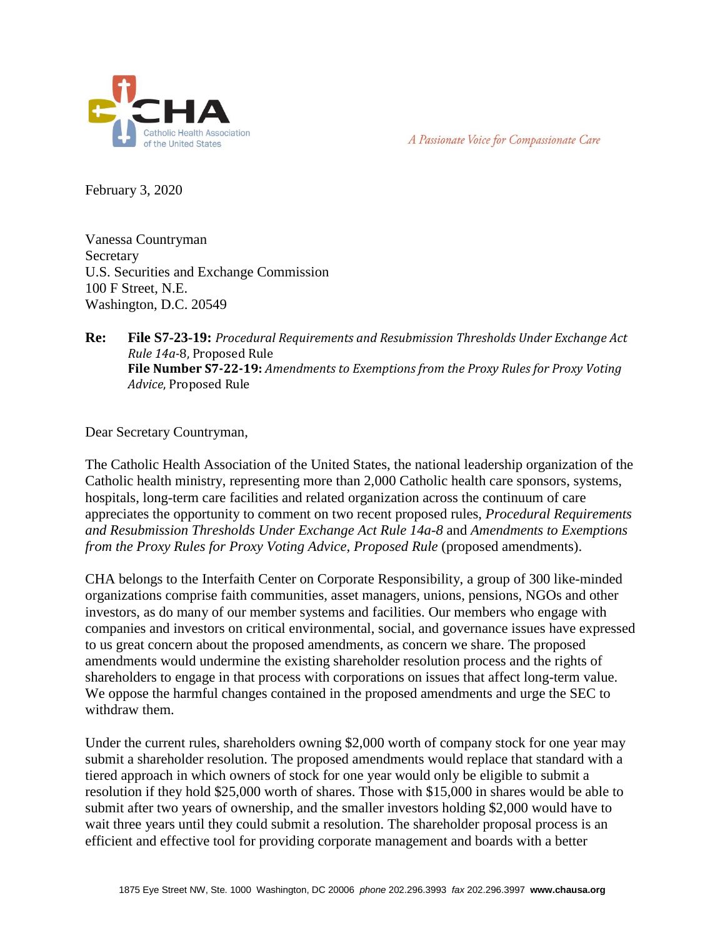A Passionate Voice for Compassionate Care



February 3, 2020

Vanessa Countryman **Secretary** U.S. Securities and Exchange Commission 100 F Street, N.E. Washington, D.C. 20549

## **Re: File S7-23-19:** *Procedural Requirements and Resubmission Thresholds Under Exchange Act Rule 14a-*8, Proposed Rule **File Number S7-22-19:** *Amendments to Exemptions from the Proxy Rules for Proxy Voting Advice*, Proposed Rule

Dear Secretary Countryman,

The Catholic Health Association of the United States, the national leadership organization of the Catholic health ministry, representing more than 2,000 Catholic health care sponsors, systems, hospitals, long-term care facilities and related organization across the continuum of care appreciates the opportunity to comment on two recent proposed rules, *Procedural Requirements and Resubmission Thresholds Under Exchange Act Rule 14a-8* and *Amendments to Exemptions from the Proxy Rules for Proxy Voting Advice, Proposed Rule* (proposed amendments).

CHA belongs to the Interfaith Center on Corporate Responsibility, a group of 300 like-minded organizations comprise faith communities, asset managers, unions, pensions, NGOs and other investors, as do many of our member systems and facilities. Our members who engage with companies and investors on critical environmental, social, and governance issues have expressed to us great concern about the proposed amendments, as concern we share. The proposed amendments would undermine the existing shareholder resolution process and the rights of shareholders to engage in that process with corporations on issues that affect long-term value. We oppose the harmful changes contained in the proposed amendments and urge the SEC to withdraw them.

Under the current rules, shareholders owning \$2,000 worth of company stock for one year may submit a shareholder resolution. The proposed amendments would replace that standard with a tiered approach in which owners of stock for one year would only be eligible to submit a resolution if they hold \$25,000 worth of shares. Those with \$15,000 in shares would be able to submit after two years of ownership, and the smaller investors holding \$2,000 would have to wait three years until they could submit a resolution. The shareholder proposal process is an efficient and effective tool for providing corporate management and boards with a better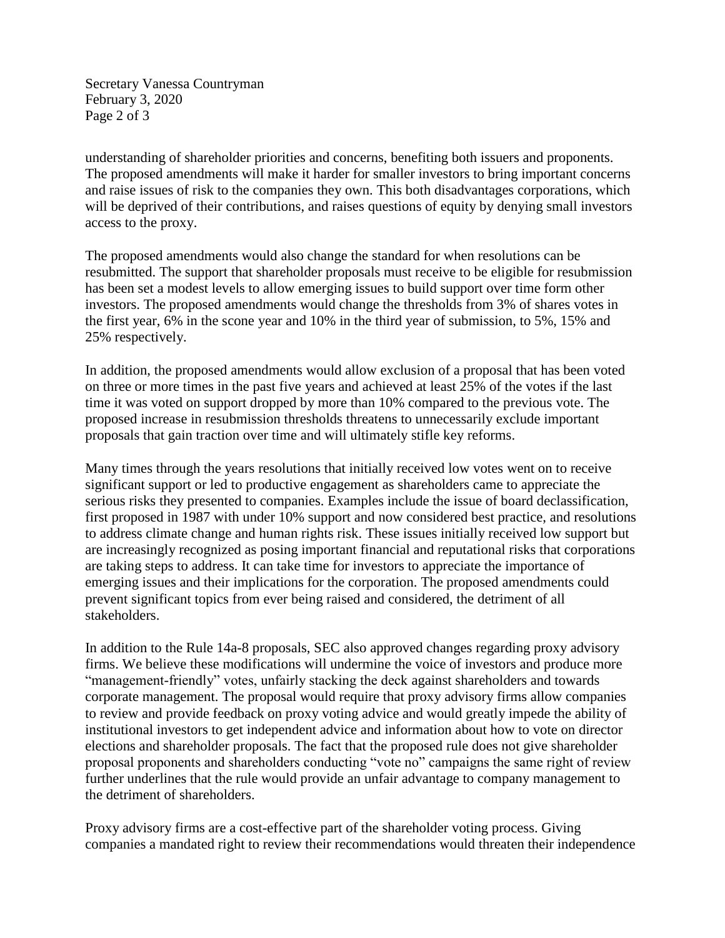Secretary Vanessa Countryman February 3, 2020 Page 2 of 3

understanding of shareholder priorities and concerns, benefiting both issuers and proponents. The proposed amendments will make it harder for smaller investors to bring important concerns and raise issues of risk to the companies they own. This both disadvantages corporations, which will be deprived of their contributions, and raises questions of equity by denying small investors access to the proxy.

The proposed amendments would also change the standard for when resolutions can be resubmitted. The support that shareholder proposals must receive to be eligible for resubmission has been set a modest levels to allow emerging issues to build support over time form other investors. The proposed amendments would change the thresholds from 3% of shares votes in the first year, 6% in the scone year and 10% in the third year of submission, to 5%, 15% and 25% respectively.

In addition, the proposed amendments would allow exclusion of a proposal that has been voted on three or more times in the past five years and achieved at least 25% of the votes if the last time it was voted on support dropped by more than 10% compared to the previous vote. The proposed increase in resubmission thresholds threatens to unnecessarily exclude important proposals that gain traction over time and will ultimately stifle key reforms.

Many times through the years resolutions that initially received low votes went on to receive significant support or led to productive engagement as shareholders came to appreciate the serious risks they presented to companies. Examples include the issue of board declassification, first proposed in 1987 with under 10% support and now considered best practice, and resolutions to address climate change and human rights risk. These issues initially received low support but are increasingly recognized as posing important financial and reputational risks that corporations are taking steps to address. It can take time for investors to appreciate the importance of emerging issues and their implications for the corporation. The proposed amendments could prevent significant topics from ever being raised and considered, the detriment of all stakeholders.

In addition to the Rule 14a-8 proposals, SEC also approved changes regarding proxy advisory firms. We believe these modifications will undermine the voice of investors and produce more "management-friendly" votes, unfairly stacking the deck against shareholders and towards corporate management. The proposal would require that proxy advisory firms allow companies to review and provide feedback on proxy voting advice and would greatly impede the ability of institutional investors to get independent advice and information about how to vote on director elections and shareholder proposals. The fact that the proposed rule does not give shareholder proposal proponents and shareholders conducting "vote no" campaigns the same right of review further underlines that the rule would provide an unfair advantage to company management to the detriment of shareholders.

Proxy advisory firms are a cost-effective part of the shareholder voting process. Giving companies a mandated right to review their recommendations would threaten their independence